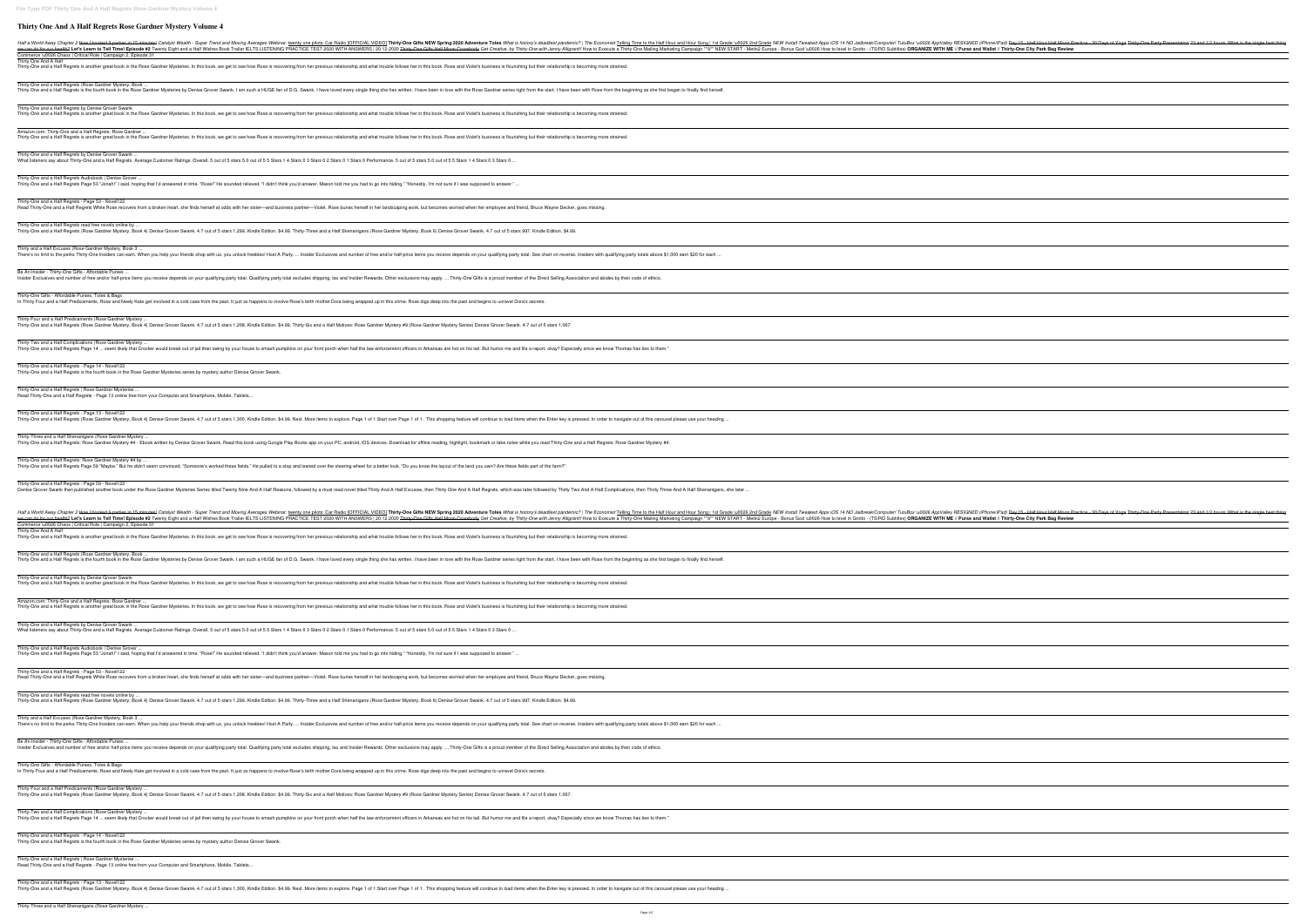## **Thirty One And A Half Regrets Rose Gardner Mystery Volume 4**

Half a World Away Chapter 2 How I booked 9 parties in 15 minutes! Catalyst Wealth - Super Trend and Moving Averages Webinar. twenty one pilots: Car Radio [OFFICIAL VIDEO] Thirty-One Gifts NEW Spring 2020 Adventure Totes Wh we can do for our health? Let's Learn to Tell Time! Episode #2 Twenty Eight and a Half Wishes Book Trailer IELTS LISTENING PRACTICE TEST 2020 WITH ANSWERS | 20.12.2020 Thirty-One Gifts Half Moon Crossbody Get Creative, by Commerce \u0026 Chaos | Critical Role | Campaign 2, Episode 31 Thirty One And A Half Thirty-One and a Half Regrets is another great book in the Rose Gardner Mysteries. In this book, we get to see how Rose is recovering from her previous relationship and what trouble follows her in this book. Rose and Viole Thirty-One and a Half Regrets (Rose Gardner Mystery, Book ... Thirty One and a Half Regrets is the fourth book in the Rose Gardner Mysteries by Denise Grover Swank. I am such a HUGE fan of D.G. Swank. I have loved every single thing she has written. I have been in love with the Rose Thirty-One and a Half Regrets by Denise Grover Swank Thirty-One and a Half Regrets is another great book in the Rose Gardner Mysteries. In this book, we get to see how Rose is recovering from her previous relationship and what trouble follows her in this book. Rose and Viole Amazon.com: Thirty-One and a Half Regrets: Rose Gardner ... Thirty-One and a Half Regrets is another great book in the Rose Gardner Mysteries. In this book, we get to see how Rose is recovering from her previous relationship and what trouble follows her in this book. Rose and Viole Thirty-One and a Half Regrets by Denise Grover Swank ... What listeners say about Thirty-One and a Half Regrets. Average Customer Ratings. Overall. 5 out of 5 stars 5.0 out of 5 5 Stars 1 4 Stars 0 3 Stars 0 1 Stars 0 1 Stars 0 Performance. 5 out of 5 stars 5.0 out of 5 5 Stars Thirty-One and a Half Regrets Audiobook | Denise Grover ... Thirty-One and a Half Regrets Page 53 "Jonah!" I said, hoping that I'd answered in time. "Rose!" He sounded relieved. "I didn't think you'd answer. Mason told me you had to go into hiding." "Honestly, I'm not sure if I was Thirty-One and a Half Regrets - Page 53 - Novel122 Read Thirty-One and a Half Regrets While Rose recovers from a broken heart, she finds herself at odds with her sister—and business partner—Violet. Rose buries herself in her landscaping work, but becomes worried when her e Thirty-One and a Half Regrets read free novels online by ... Thirty-One and a Half Regrets (Rose Gardner Mystery, Book 4) Denise Grover Swank. 4.7 out of 5 stars 1,299. Kindle Edition. \$4.99. Thirty-Three and a Half Shenanigans (Rose Gardner Mystery, Book 6) Denise Grover Swank. 4.7 Thirty and a Half Excuses (Rose Gardner Mystery, Book 3 ... There's no limit to the perks Thirty-One Insiders can earn. When you help your friends shop with us, you unlock freebies! Host A Party. ... Insider Exclusives and number of free and/or half-price items you receive depends Be An Insider - Thirty-One Gifts - Affordable Purses ... Insider Exclusives and number of free and/or half-price items you receive depends on your qualifying party total. Qualifying party total excludes shipping, tax and Insider Rewards. Other exclusions may apply. ... Thirty-On Thirty-One Gifts - Affordable Purses, Totes & Bags In Thirty Four and a Half Predicaments, Rose and Neely Kate get involved in a cold case from the past. It just so happens to involve Rose's birth mother Dora being wrapped up in this crime. Rose digs deep into the past and Thirty-Four and a Half Predicaments (Rose Gardner Mystery ... Thirty-One and a Half Regrets (Rose Gardner Mystery, Book 4) Denise Grover Swank. 4.7 out of 5 stars 1,208. Kindle Edition. \$4.99. Thirty-Six and a Half Motives: Rose Gardner Mystery #9 (Rose Gardner Mystery Series) Denise Thirty-Two and a Half Complications (Rose Gardner Mystery ... Thirty-One and a Half Regrets Page 14 ... seem likely that Crocker would break out of jail then swing by your house to smash pumpkins on your front porch when half the law enforcement officers in Arkansas are hot on his ta Thirty-One and a Half Regrets - Page 14 - Novel122 Thirty-One and a Half Regrets is the fourth book in the Rose Gardner Mysteries series by mystery author Denise Grover Swank. Thirty-One and a Half Regrets | Rose Gardner Mysteries ... Read Thirty-One and a Half Regrets - Page 13 online free from your Computer and Smartphone, Mobile, Tablets... Thirty-One and a Half Regrets - Page 13 - Novel122 Thirty-One and a Half Regrets (Rose Gardner Mystery, Book 4) Denise Grover Swank. 4.7 out of 5 stars 1,300. Kindle Edition. \$4.99. Next. More items to explore. Page 1 of 1. This shopping feature will continue to load items Thirty-Three and a Half Shenanigans (Rose Gardner Mystery ... Thirty-One and a Half Regrets: Rose Gardner Mystery #4 - Ebook written by Denise Grover Swank. Read this book using Google Play Books app on your PC, android, iOS devices. Download for offline reading, highlight, bookmark Thirty-One and a Half Regrets: Rose Gardner Mystery #4 by. Thirty-One and a Half Regrets Page 59 "Maybe." But he didn't seem convinced. "Someone's worked these fields." He pulled to a stop and leaned over the steering wheel for a better look. "Do you know the layout of the land yo Thirty-One and a Half Regrets - Page 59 - Novel122 Denise Grover Swank then published another book under the Rose Gardner Mysteries Series titled Twenty Nine And A Half Reasons, followed by a must read novel titled Thirty And A Half Regrets, which was later followed by Thi Half a World Away Chapter 2 How I booked 9 parties in 15 minutes! Catalyst Wealth - Super Trend and Moving Averages Webinar. twenty one pilots: Car Radio [OFFICIAL VIDEO] Thirty-One Gifts NEW Spring 2020 Adventure Totes Wh we can do for our health? Let's Learn to Tell Time! Episode #2 Twenty Eight and a Half Wishes Book Trailer IELTS LISTENING PRACTICE TEST 2020 WITH ANSWERS | 20.12.2020 Thirty-One Gifts Half Moon Crossbody Get Creative, by Commerce \u0026 Chaos | Critical Role | Campaign 2, Episode 31 Thirty One And A Half Thirty-One and a Half Regrets is another great book in the Rose Gardner Mysteries. In this book, we get to see how Rose is recovering from her previous relationship and what trouble follows her in this book. Rose and Viole Thirty-One and a Half Regrets (Rose Gardner Mystery, Book ... Thirty One and a Half Regrets is the fourth book in the Rose Gardner Mysteries by Denise Grover Swank. I am such a HUGE fan of D.G. Swank. I have been in love with the Rose Gardner series right from the start. I have been Thirty-One and a Half Regrets by Denise Grover Swank Thirty-One and a Half Regrets is another great book in the Rose Gardner Mysteries. In this book, we get to see how Rose is recovering from her previous relationship and what trouble follows her in this book. Rose and Viole Amazon.com: Thirty-One and a Half Regrets: Rose Gardner ... Thirty-One and a Half Regrets is another great book in the Rose Gardner Mysteries. In this book, we get to see how Rose is recovering from her previous relationship and what trouble follows her in this book. Rose and Viole Thirty-One and a Half Regrets by Denise Grover Swank ... What listeners say about Thirty-One and a Half Regrets. Average Customer Ratings. Overall. 5 out of 5 stars 5.0 out of 5 5 Stars 1 4 Stars 0 3 Stars 0 1 Stars 0 1 Stars 0 Performance. 5 out of 5 stars 5.0 out of 5 5 Stars Thirty-One and a Half Regrets Audiobook | Denise Grover ... Thirty-One and a Half Regrets Page 53 "Jonah!" I said, hoping that I'd answered in time. "Rose!" He sounded relieved. "I didn't think you'd answer. Mason told me you had to go into hiding." "Honestly, I'm not sure if I was Thirty-One and a Half Regrets - Page 53 - Novel122 Read Thirty-One and a Half Regrets While Rose recovers from a broken heart, she finds herself at odds with her sister—and business partner—Violet. Rose buries herself in her landscaping work, but becomes worried when her e Thirty-One and a Half Regrets read free novels online by Thirty-One and a Half Regrets (Rose Gardner Mystery, Book 4) Denise Grover Swank. 4.7 out of 5 stars 1,299. Kindle Edition. \$4.99. Thirty-Three and a Half Shenanigans (Rose Gardner Mystery, Book 6) Denise Grover Swank. 4.7 Thirty and a Half Excuses (Rose Gardner Mystery, Book 3 ... There's no limit to the perks Thirty-One Insiders can earn. When you help your friends shop with us, you unlock freebies! Host A Party. ... Insider Exclusives and number of free and/or half-price items you receive depends Be An Insider - Thirty-One Gifts - Affordable Purses ... Insider Exclusives and number of free and/or half-price items you receive depends on your qualifying party total. Qualifying party total excludes shipping, tax and Insider Rewards. Other exclusions may apply. ... Thirty-On Thirty-One Gifts - Affordable Purses, Totes & Bags In Thirty Four and a Half Predicaments, Rose and Neely Kate get involved in a cold case from the past. It just so happens to involve Rose's birth mother Dora being wrapped up in this crime. Rose digs deep into the past and Thirty-Four and a Half Predicaments (Rose Gardner Mystery ... Thirty-One and a Half Regrets (Rose Gardner Mystery, Book 4) Denise Grover Swank. 4.7 out of 5 stars 1,208. Kindle Edition. \$4.99. Thirty-Six and a Half Motives: Rose Gardner Mystery #9 (Rose Gardner Mystery Series) Denise Thirty-Two and a Half Complications (Rose Gardner Mystery ... Thirty-One and a Half Regrets Page 14 ... seem likely that Crocker would break out of jail then swing by your house to smash pumpkins on your front porch when half the law enforcement officers in Arkansas are hot on his ta Thirty-One and a Half Regrets - Page 14 - Novel122 Thirty-One and a Half Regrets is the fourth book in the Rose Gardner Mysteries series by mystery author Denise Grover Swank. Thirty-One and a Half Regrets | Rose Gardner Mysteries ... Read Thirty-One and a Half Regrets - Page 13 online free from your Computer and Smartphone, Mobile, Tablets... Thirty-One and a Half Regrets - Page 13 - Novel122 Thirty-One and a Half Regrets (Rose Gardner Mystery, Book 4) Denise Grover Swank. 4.7 out of 5 stars 1,300. Kindle Edition. \$4.99. Next. More items to explore. Page 1 of 1. This shopping feature will continue to load items

Page 1/2

| ong   1st Grade \u0026 2nd Grade NEW Install Tweaked Apps iOS 14 NO Jailbreak/Computer! TutuBox \u0026 AppValley RESIGNED (iPhone/iPad) Day 15 - Half Hour Half Moon Practice - 30 Days of Yoga Thirty-One Party Presentation<br>1 <sup>**9**</sup> NEW START - Metin2 Europe - Bonus God \u0026 How to level in Grotto - (TS/RO Subtitles) ORGANIZE WITH ME // Purse and Wallet // Thirty-One City Park Bag Review |
|---------------------------------------------------------------------------------------------------------------------------------------------------------------------------------------------------------------------------------------------------------------------------------------------------------------------------------------------------------------------------------------------------------------------|
|                                                                                                                                                                                                                                                                                                                                                                                                                     |
|                                                                                                                                                                                                                                                                                                                                                                                                                     |
| ind herself.                                                                                                                                                                                                                                                                                                                                                                                                        |
|                                                                                                                                                                                                                                                                                                                                                                                                                     |
|                                                                                                                                                                                                                                                                                                                                                                                                                     |
|                                                                                                                                                                                                                                                                                                                                                                                                                     |
|                                                                                                                                                                                                                                                                                                                                                                                                                     |
|                                                                                                                                                                                                                                                                                                                                                                                                                     |
|                                                                                                                                                                                                                                                                                                                                                                                                                     |
|                                                                                                                                                                                                                                                                                                                                                                                                                     |
|                                                                                                                                                                                                                                                                                                                                                                                                                     |
|                                                                                                                                                                                                                                                                                                                                                                                                                     |
|                                                                                                                                                                                                                                                                                                                                                                                                                     |
| or each                                                                                                                                                                                                                                                                                                                                                                                                             |
|                                                                                                                                                                                                                                                                                                                                                                                                                     |
|                                                                                                                                                                                                                                                                                                                                                                                                                     |
|                                                                                                                                                                                                                                                                                                                                                                                                                     |
|                                                                                                                                                                                                                                                                                                                                                                                                                     |
|                                                                                                                                                                                                                                                                                                                                                                                                                     |
|                                                                                                                                                                                                                                                                                                                                                                                                                     |
|                                                                                                                                                                                                                                                                                                                                                                                                                     |
|                                                                                                                                                                                                                                                                                                                                                                                                                     |
|                                                                                                                                                                                                                                                                                                                                                                                                                     |
|                                                                                                                                                                                                                                                                                                                                                                                                                     |
|                                                                                                                                                                                                                                                                                                                                                                                                                     |
| our heading                                                                                                                                                                                                                                                                                                                                                                                                         |
|                                                                                                                                                                                                                                                                                                                                                                                                                     |
|                                                                                                                                                                                                                                                                                                                                                                                                                     |
|                                                                                                                                                                                                                                                                                                                                                                                                                     |
|                                                                                                                                                                                                                                                                                                                                                                                                                     |
|                                                                                                                                                                                                                                                                                                                                                                                                                     |
| nenanigans, she later                                                                                                                                                                                                                                                                                                                                                                                               |
| ong   1st Grade \u0026 2nd Grade NEW Install Tweaked Apps iOS 14 NO Jailbreak/Computer! TutuBox \u0026 AppValley RESIGNED (iPhone/iPad) Day 15 - Half Hour Half Moon Practice - 30 Days of Yoga Thirty-One Party Presentation                                                                                                                                                                                       |
| 1 <sup>**9**</sup> NEW START - Metin2 Europe - Bonus God \u0026 How to level in Grotto - (TS/RO Subtitles) ORGANIZE WITH ME // Purse and Wallet // Thirty-One City Park Bag Review                                                                                                                                                                                                                                  |
|                                                                                                                                                                                                                                                                                                                                                                                                                     |
|                                                                                                                                                                                                                                                                                                                                                                                                                     |
| ind herself.                                                                                                                                                                                                                                                                                                                                                                                                        |
|                                                                                                                                                                                                                                                                                                                                                                                                                     |
|                                                                                                                                                                                                                                                                                                                                                                                                                     |
|                                                                                                                                                                                                                                                                                                                                                                                                                     |
|                                                                                                                                                                                                                                                                                                                                                                                                                     |
|                                                                                                                                                                                                                                                                                                                                                                                                                     |
|                                                                                                                                                                                                                                                                                                                                                                                                                     |
|                                                                                                                                                                                                                                                                                                                                                                                                                     |
|                                                                                                                                                                                                                                                                                                                                                                                                                     |
|                                                                                                                                                                                                                                                                                                                                                                                                                     |
|                                                                                                                                                                                                                                                                                                                                                                                                                     |
| or each                                                                                                                                                                                                                                                                                                                                                                                                             |
|                                                                                                                                                                                                                                                                                                                                                                                                                     |
|                                                                                                                                                                                                                                                                                                                                                                                                                     |
|                                                                                                                                                                                                                                                                                                                                                                                                                     |
|                                                                                                                                                                                                                                                                                                                                                                                                                     |
|                                                                                                                                                                                                                                                                                                                                                                                                                     |
|                                                                                                                                                                                                                                                                                                                                                                                                                     |
|                                                                                                                                                                                                                                                                                                                                                                                                                     |
|                                                                                                                                                                                                                                                                                                                                                                                                                     |
|                                                                                                                                                                                                                                                                                                                                                                                                                     |
|                                                                                                                                                                                                                                                                                                                                                                                                                     |
| our heading                                                                                                                                                                                                                                                                                                                                                                                                         |